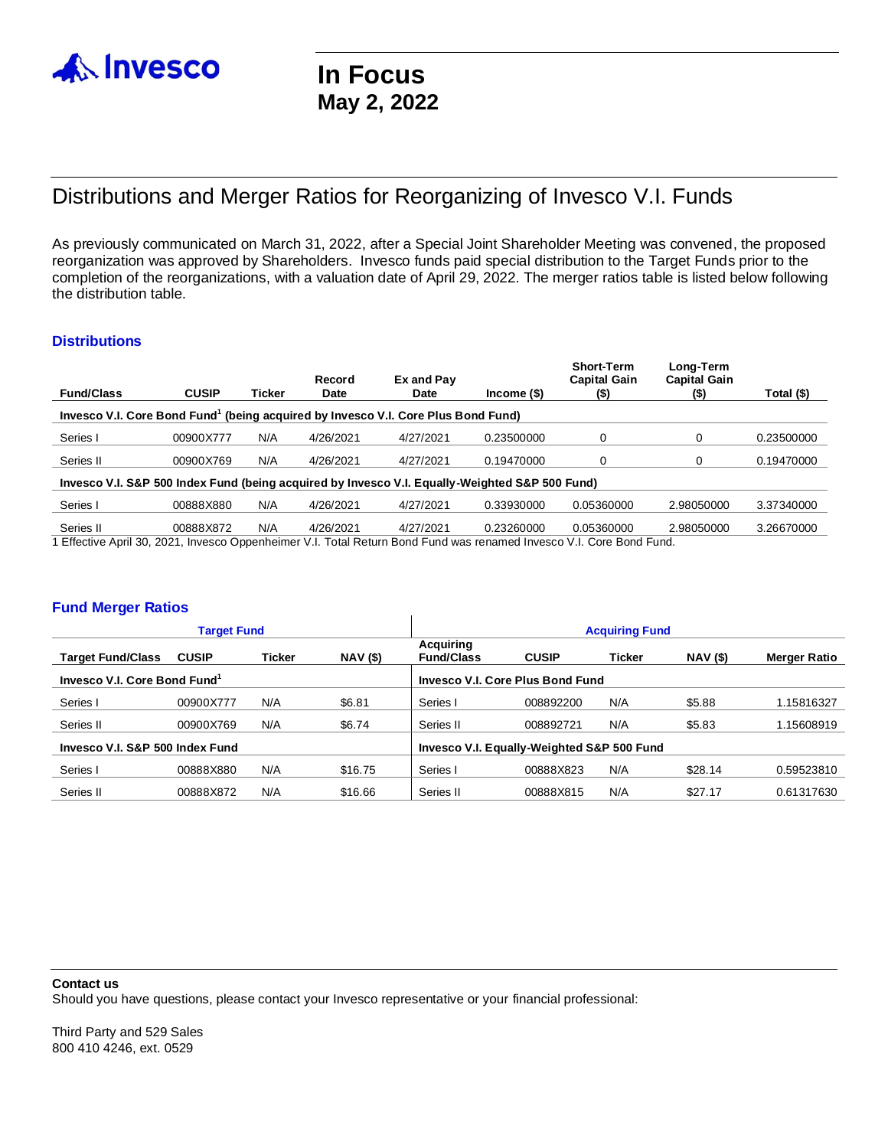

# Distributions and Merger Ratios for Reorganizing of Invesco V.I. Funds

As previously communicated on March 31, 2022, after a Special Joint Shareholder Meeting was convened, the proposed reorganization was approved by Shareholders. Invesco funds paid special distribution to the Target Funds prior to the completion of the reorganizations, with a valuation date of April 29, 2022. The merger ratios table is listed below following the distribution table.

# **Distributions**

| <b>Fund/Class</b>                                                                                                              | <b>CUSIP</b> | Ticker | Record<br><b>Date</b> | Ex and Pay<br><b>Date</b> | $lncome($ \$) | <b>Short-Term</b><br><b>Capital Gain</b><br>(\$) | Long-Term<br><b>Capital Gain</b><br>$($)$ | Total (\$) |  |  |  |  |
|--------------------------------------------------------------------------------------------------------------------------------|--------------|--------|-----------------------|---------------------------|---------------|--------------------------------------------------|-------------------------------------------|------------|--|--|--|--|
| Invesco V.I. Core Bond Fund <sup>1</sup> (being acquired by Invesco V.I. Core Plus Bond Fund)                                  |              |        |                       |                           |               |                                                  |                                           |            |  |  |  |  |
| Series I                                                                                                                       | 00900X777    | N/A    | 4/26/2021             | 4/27/2021                 | 0.23500000    | 0                                                | 0                                         | 0.23500000 |  |  |  |  |
| Series II                                                                                                                      | 00900X769    | N/A    | 4/26/2021             | 4/27/2021                 | 0.19470000    | 0                                                | 0                                         | 0.19470000 |  |  |  |  |
| Invesco V.I. S&P 500 Index Fund (being acquired by Invesco V.I. Equally-Weighted S&P 500 Fund)                                 |              |        |                       |                           |               |                                                  |                                           |            |  |  |  |  |
| Series I                                                                                                                       | 00888X880    | N/A    | 4/26/2021             | 4/27/2021                 | 0.33930000    | 0.05360000                                       | 2.98050000                                | 3.37340000 |  |  |  |  |
| Series II<br>1 Effective April 20, 2021, Invesse Oppenheimer VI, Total Peturn Rend Eund was renamed Invesse VI, Care Rend Eund | 00888X872    | N/A    | 4/26/2021             | 4/27/2021                 | 0.23260000    | 0.05360000                                       | 2.98050000                                | 3.26670000 |  |  |  |  |

:ffective April 30, 2021, Invesco Oppenheimer V.I. Total Return Bond Fund was renamed Invesco V.I. Core Bond Fund.

# **Fund Merger Ratios**

| <b>Target Fund</b>                       |              |               |                 | <b>Acquiring Fund</b>                      |              |        |                 |              |  |
|------------------------------------------|--------------|---------------|-----------------|--------------------------------------------|--------------|--------|-----------------|--------------|--|
| <b>Target Fund/Class</b>                 | <b>CUSIP</b> | <b>Ticker</b> | <b>NAV (\$)</b> | Acquiring<br><b>Fund/Class</b>             | <b>CUSIP</b> | Ticker | <b>NAV</b> (\$) | Merger Ratio |  |
| Invesco V.I. Core Bond Fund <sup>1</sup> |              |               |                 | Invesco V.I. Core Plus Bond Fund           |              |        |                 |              |  |
| Series I                                 | 00900X777    | N/A           | \$6.81          | Series I                                   | 008892200    | N/A    | \$5.88          | 1.15816327   |  |
| Series II                                | 00900X769    | N/A           | \$6.74          | Series II                                  | 008892721    | N/A    | \$5.83          | 1.15608919   |  |
| Invesco V.I. S&P 500 Index Fund          |              |               |                 | Invesco V.I. Equally-Weighted S&P 500 Fund |              |        |                 |              |  |
| Series I                                 | 00888X880    | N/A           | \$16.75         | Series I                                   | 00888X823    | N/A    | \$28.14         | 0.59523810   |  |
| Series II                                | 00888X872    | N/A           | \$16.66         | Series II                                  | 00888X815    | N/A    | \$27.17         | 0.61317630   |  |

#### **Contact us**

Should you have questions, please contact your Invesco representative or your financial professional:

Third Party and 529 Sales 800 410 4246, ext. 0529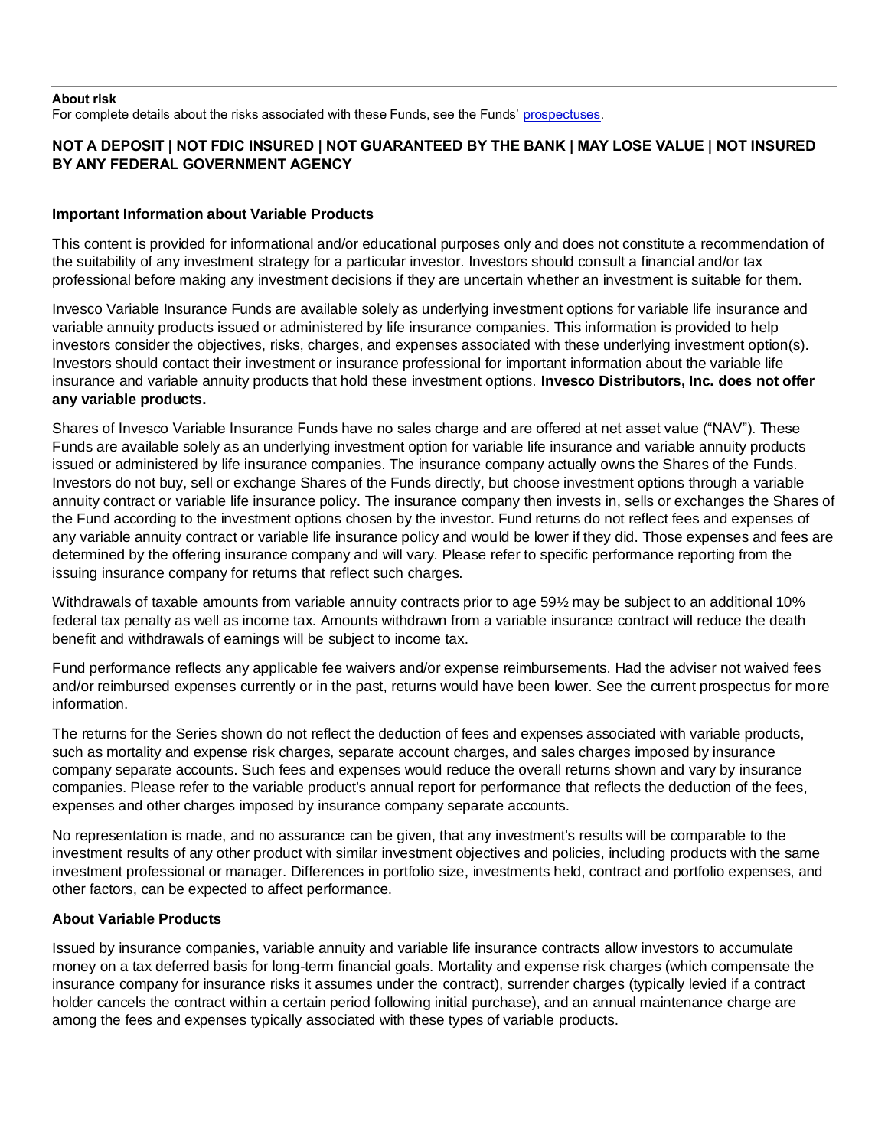#### **About risk**

For complete details about the risks associated with these Funds, see the Funds' prospectuses.

# **NOT A DEPOSIT | NOT FDIC INSURED | NOT GUARANTEED BY THE BANK | MAY LOSE VALUE | NOT INSURED BY ANY FEDERAL GOVERNMENT AGENCY**

# **Important Information about Variable Products**

This content is provided for informational and/or educational purposes only and does not constitute a recommendation of the suitability of any investment strategy for a particular investor. Investors should consult a financial and/or tax professional before making any investment decisions if they are uncertain whether an investment is suitable for them.

Invesco Variable Insurance Funds are available solely as underlying investment options for variable life insurance and variable annuity products issued or administered by life insurance companies. This information is provided to help investors consider the objectives, risks, charges, and expenses associated with these underlying investment option(s). Investors should contact their investment or insurance professional for important information about the variable life insurance and variable annuity products that hold these investment options. **Invesco Distributors, Inc. does not offer any variable products.**

Shares of Invesco Variable Insurance Funds have no sales charge and are offered at net asset value ("NAV"). These Funds are available solely as an underlying investment option for variable life insurance and variable annuity products issued or administered by life insurance companies. The insurance company actually owns the Shares of the Funds. Investors do not buy, sell or exchange Shares of the Funds directly, but choose investment options through a variable annuity contract or variable life insurance policy. The insurance company then invests in, sells or exchanges the Shares of the Fund according to the investment options chosen by the investor. Fund returns do not reflect fees and expenses of any variable annuity contract or variable life insurance policy and would be lower if they did. Those expenses and fees are determined by the offering insurance company and will vary. Please refer to specific performance reporting from the issuing insurance company for returns that reflect such charges.

Withdrawals of taxable amounts from variable annuity contracts prior to age 59½ may be subject to an additional 10% federal tax penalty as well as income tax. Amounts withdrawn from a variable insurance contract will reduce the death benefit and withdrawals of earnings will be subject to income tax.

Fund performance reflects any applicable fee waivers and/or expense reimbursements. Had the adviser not waived fees and/or reimbursed expenses currently or in the past, returns would have been lower. See the current prospectus for more information.

The returns for the Series shown do not reflect the deduction of fees and expenses associated with variable products, such as mortality and expense risk charges, separate account charges, and sales charges imposed by insurance company separate accounts. Such fees and expenses would reduce the overall returns shown and vary by insurance companies. Please refer to the variable product's annual report for performance that reflects the deduction of the fees, expenses and other charges imposed by insurance company separate accounts.

No representation is made, and no assurance can be given, that any investment's results will be comparable to the investment results of any other product with similar investment objectives and policies, including products with the same investment professional or manager. Differences in portfolio size, investments held, contract and portfolio expenses, and other factors, can be expected to affect performance.

# **About Variable Products**

Issued by insurance companies, variable annuity and variable life insurance contracts allow investors to accumulate money on a tax deferred basis for long-term financial goals. Mortality and expense risk charges (which compensate the insurance company for insurance risks it assumes under the contract), surrender charges (typically levied if a contract holder cancels the contract within a certain period following initial purchase), and an annual maintenance charge are among the fees and expenses typically associated with these types of variable products.